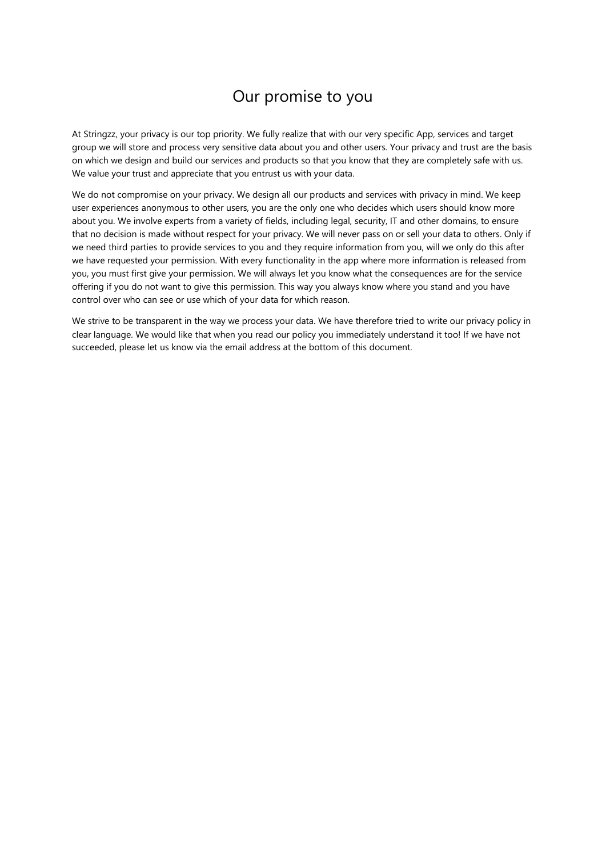# Our promise to you

<span id="page-0-0"></span>At Stringzz, your privacy is our top priority. We fully realize that with our very specific App, services and target group we will store and process very sensitive data about you and other users. Your privacy and trust are the basis on which we design and build our services and products so that you know that they are completely safe with us. We value your trust and appreciate that you entrust us with your data.

We do not compromise on your privacy. We design all our products and services with privacy in mind. We keep user experiences anonymous to other users, you are the only one who decides which users should know more about you. We involve experts from a variety of fields, including legal, security, IT and other domains, to ensure that no decision is made without respect for your privacy. We will never pass on or sell your data to others. Only if we need third parties to provide services to you and they require information from you, will we only do this after we have requested your permission. With every functionality in the app where more information is released from you, you must first give your permission. We will always let you know what the consequences are for the service offering if you do not want to give this permission. This way you always know where you stand and you have control over who can see or use which of your data for which reason.

We strive to be transparent in the way we process your data. We have therefore tried to write our privacy policy in clear language. We would like that when you read our policy you immediately understand it too! If we have not succeeded, please let us know via the email address at the bottom of this document.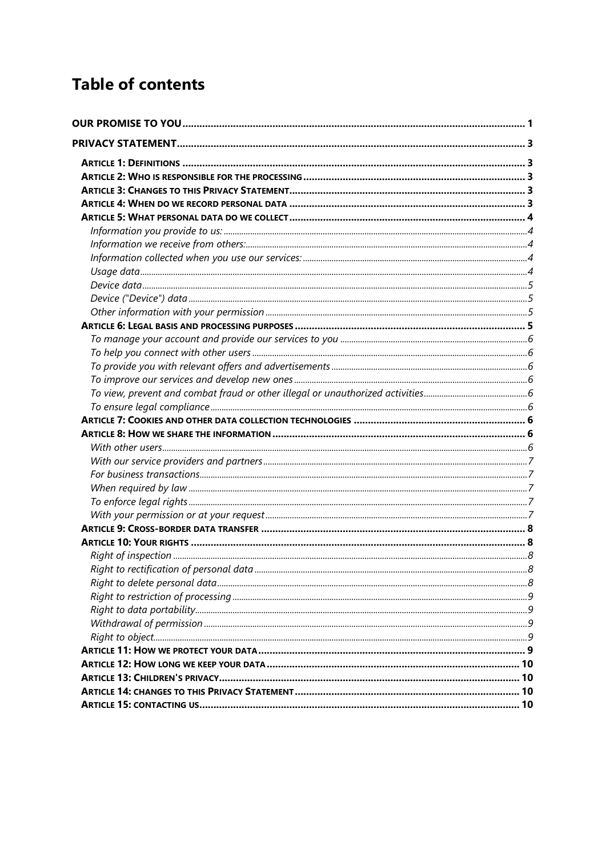# **Table of contents**

| Right to rectification of personal data | 8. |
|-----------------------------------------|----|
|                                         |    |
|                                         |    |
|                                         |    |
|                                         |    |
|                                         |    |
|                                         |    |
|                                         |    |
|                                         |    |
|                                         |    |
|                                         |    |
|                                         |    |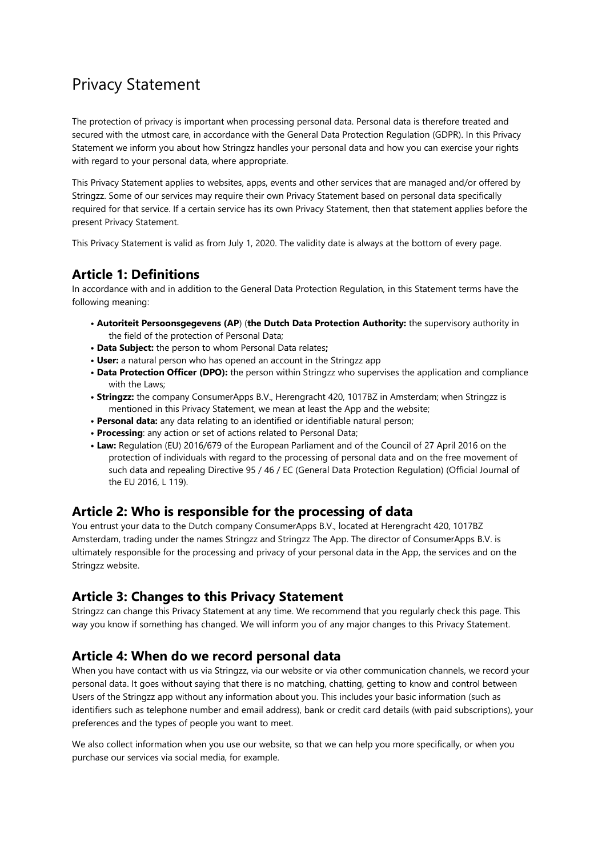# <span id="page-2-0"></span>Privacy Statement

The protection of privacy is important when processing personal data. Personal data is therefore treated and secured with the utmost care, in accordance with the General Data Protection Regulation (GDPR). In this Privacy Statement we inform you about how Stringzz handles your personal data and how you can exercise your rights with regard to your personal data, where appropriate.

This Privacy Statement applies to websites, apps, events and other services that are managed and/or offered by Stringzz. Some of our services may require their own Privacy Statement based on personal data specifically required for that service. If a certain service has its own Privacy Statement, then that statement applies before the present Privacy Statement.

This Privacy Statement is valid as from July 1, 2020. The validity date is always at the bottom of every page.

## <span id="page-2-1"></span>**Article 1: Definitions**

In accordance with and in addition to the General Data Protection Regulation, in this Statement terms have the following meaning:

- **Autoriteit Persoonsgegevens (AP**) (**the Dutch Data Protection Authority:** the supervisory authority in the field of the protection of Personal Data;
- **Data Subject:** the person to whom Personal Data relates**;**
- **User:** a natural person who has opened an account in the Stringzz app
- **Data Protection Officer (DPO):** the person within Stringzz who supervises the application and compliance with the Laws;
- **Stringzz:** the company ConsumerApps B.V., Herengracht 420, 1017BZ in Amsterdam; when Stringzz is mentioned in this Privacy Statement, we mean at least the App and the website;
- **Personal data:** any data relating to an identified or identifiable natural person;
- **Processing**: any action or set of actions related to Personal Data;
- **Law:** Regulation (EU) 2016/679 of the European Parliament and of the Council of 27 April 2016 on the protection of individuals with regard to the processing of personal data and on the free movement of such data and repealing Directive 95 / 46 / EC (General Data Protection Regulation) (Official Journal of the EU 2016, L 119).

## <span id="page-2-2"></span>**Article 2: Who is responsible for the processing of data**

You entrust your data to the Dutch company ConsumerApps B.V., located at Herengracht 420, 1017BZ Amsterdam, trading under the names Stringzz and Stringzz The App. The director of ConsumerApps B.V. is ultimately responsible for the processing and privacy of your personal data in the App, the services and on the Stringzz website.

## <span id="page-2-3"></span>**Article 3: Changes to this Privacy Statement**

Stringzz can change this Privacy Statement at any time. We recommend that you regularly check this page. This way you know if something has changed. We will inform you of any major changes to this Privacy Statement.

### <span id="page-2-4"></span>**Article 4: When do we record personal data**

When you have contact with us via Stringzz, via our website or via other communication channels, we record your personal data. It goes without saying that there is no matching, chatting, getting to know and control between Users of the Stringzz app without any information about you. This includes your basic information (such as identifiers such as telephone number and email address), bank or credit card details (with paid subscriptions), your preferences and the types of people you want to meet.

We also collect information when you use our website, so that we can help you more specifically, or when you purchase our services via social media, for example.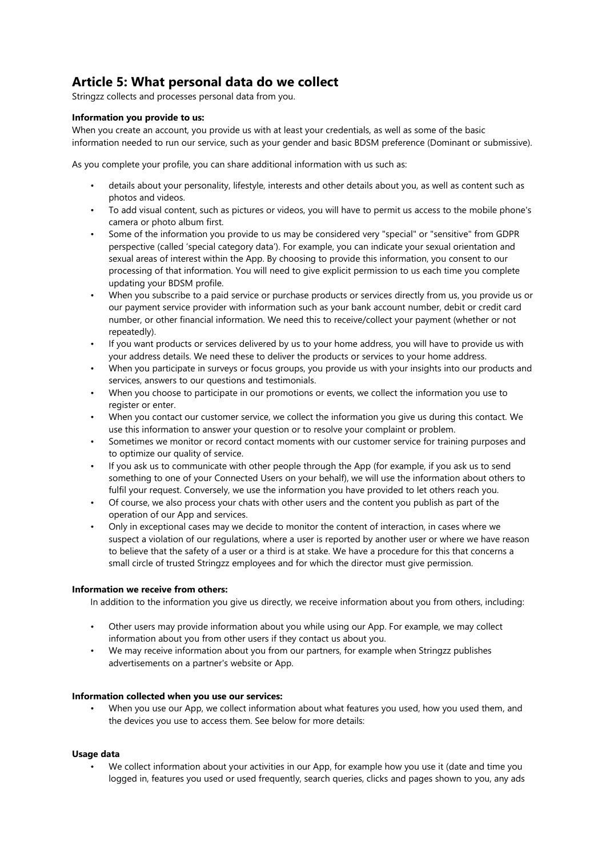# <span id="page-3-0"></span>**Article 5: What personal data do we collect**

Stringzz collects and processes personal data from you.

#### <span id="page-3-1"></span>**Information you provide to us:**

When you create an account, you provide us with at least your credentials, as well as some of the basic information needed to run our service, such as your gender and basic BDSM preference (Dominant or submissive).

As you complete your profile, you can share additional information with us such as:

- details about your personality, lifestyle, interests and other details about you, as well as content such as photos and videos.
- To add visual content, such as pictures or videos, you will have to permit us access to the mobile phone's camera or photo album first.
- Some of the information you provide to us may be considered very "special" or "sensitive" from GDPR perspective (called 'special category data'). For example, you can indicate your sexual orientation and sexual areas of interest within the App. By choosing to provide this information, you consent to our processing of that information. You will need to give explicit permission to us each time you complete updating your BDSM profile.
- When you subscribe to a paid service or purchase products or services directly from us, you provide us or our payment service provider with information such as your bank account number, debit or credit card number, or other financial information. We need this to receive/collect your payment (whether or not repeatedly).
- If you want products or services delivered by us to your home address, you will have to provide us with your address details. We need these to deliver the products or services to your home address.
- When you participate in surveys or focus groups, you provide us with your insights into our products and services, answers to our questions and testimonials.
- When you choose to participate in our promotions or events, we collect the information you use to register or enter.
- When you contact our customer service, we collect the information you give us during this contact. We use this information to answer your question or to resolve your complaint or problem.
- Sometimes we monitor or record contact moments with our customer service for training purposes and to optimize our quality of service.
- If you ask us to communicate with other people through the App (for example, if you ask us to send something to one of your Connected Users on your behalf), we will use the information about others to fulfil your request. Conversely, we use the information you have provided to let others reach you.
- Of course, we also process your chats with other users and the content you publish as part of the operation of our App and services.
- Only in exceptional cases may we decide to monitor the content of interaction, in cases where we suspect a violation of our regulations, where a user is reported by another user or where we have reason to believe that the safety of a user or a third is at stake. We have a procedure for this that concerns a small circle of trusted Stringzz employees and for which the director must give permission.

#### <span id="page-3-2"></span>**Information we receive from others:**

In addition to the information you give us directly, we receive information about you from others, including:

- Other users may provide information about you while using our App. For example, we may collect information about you from other users if they contact us about you.
- We may receive information about you from our partners, for example when Stringzz publishes advertisements on a partner's website or App.

#### <span id="page-3-3"></span>**Information collected when you use our services:**

• When you use our App, we collect information about what features you used, how you used them, and the devices you use to access them. See below for more details:

#### <span id="page-3-4"></span>**Usage data**

• We collect information about your activities in our App, for example how you use it (date and time you logged in, features you used or used frequently, search queries, clicks and pages shown to you, any ads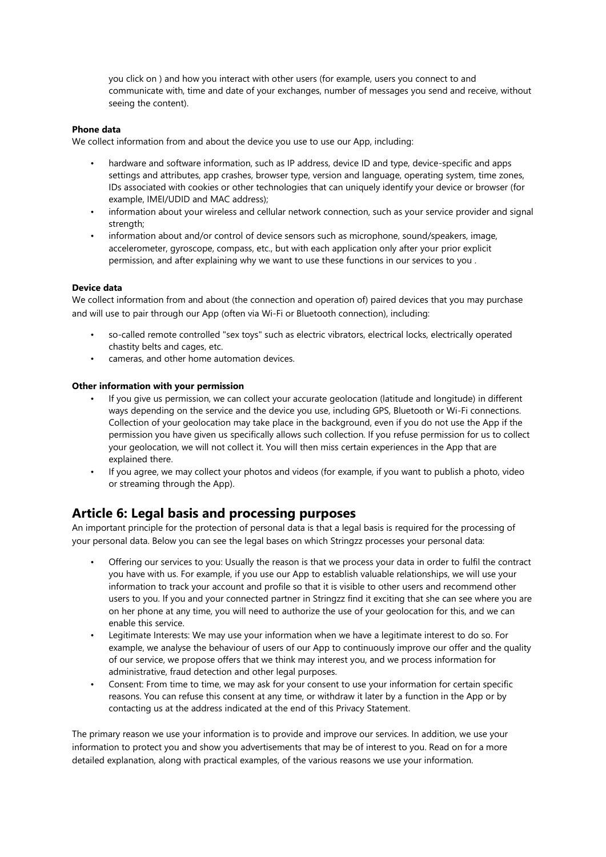you click on ) and how you interact with other users (for example, users you connect to and communicate with, time and date of your exchanges, number of messages you send and receive, without seeing the content).

#### <span id="page-4-0"></span>**Phone data**

We collect information from and about the device you use to use our App, including:

- hardware and software information, such as IP address, device ID and type, device-specific and apps settings and attributes, app crashes, browser type, version and language, operating system, time zones, IDs associated with cookies or other technologies that can uniquely identify your device or browser (for example, IMEI/UDID and MAC address);
- information about your wireless and cellular network connection, such as your service provider and signal strength;
- information about and/or control of device sensors such as microphone, sound/speakers, image, accelerometer, gyroscope, compass, etc., but with each application only after your prior explicit permission, and after explaining why we want to use these functions in our services to you .

#### <span id="page-4-1"></span>**Device data**

We collect information from and about (the connection and operation of) paired devices that you may purchase and will use to pair through our App (often via Wi-Fi or Bluetooth connection), including:

- so-called remote controlled "sex toys" such as electric vibrators, electrical locks, electrically operated chastity belts and cages, etc.
- cameras, and other home automation devices.

#### <span id="page-4-2"></span>**Other information with your permission**

- If you give us permission, we can collect your accurate geolocation (latitude and longitude) in different ways depending on the service and the device you use, including GPS, Bluetooth or Wi-Fi connections. Collection of your geolocation may take place in the background, even if you do not use the App if the permission you have given us specifically allows such collection. If you refuse permission for us to collect your geolocation, we will not collect it. You will then miss certain experiences in the App that are explained there.
- If you agree, we may collect your photos and videos (for example, if you want to publish a photo, video or streaming through the App).

### <span id="page-4-3"></span>**Article 6: Legal basis and processing purposes**

An important principle for the protection of personal data is that a legal basis is required for the processing of your personal data. Below you can see the legal bases on which Stringzz processes your personal data:

- Offering our services to you: Usually the reason is that we process your data in order to fulfil the contract you have with us. For example, if you use our App to establish valuable relationships, we will use your information to track your account and profile so that it is visible to other users and recommend other users to you. If you and your connected partner in Stringzz find it exciting that she can see where you are on her phone at any time, you will need to authorize the use of your geolocation for this, and we can enable this service.
- Legitimate Interests: We may use your information when we have a legitimate interest to do so. For example, we analyse the behaviour of users of our App to continuously improve our offer and the quality of our service, we propose offers that we think may interest you, and we process information for administrative, fraud detection and other legal purposes.
- Consent: From time to time, we may ask for your consent to use your information for certain specific reasons. You can refuse this consent at any time, or withdraw it later by a function in the App or by contacting us at the address indicated at the end of this Privacy Statement.

The primary reason we use your information is to provide and improve our services. In addition, we use your information to protect you and show you advertisements that may be of interest to you. Read on for a more detailed explanation, along with practical examples, of the various reasons we use your information.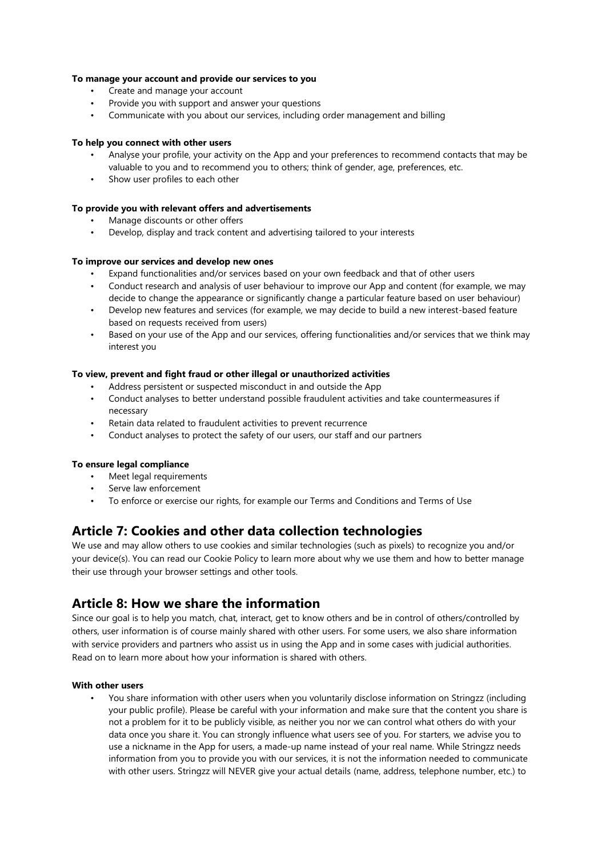#### <span id="page-5-0"></span>**To manage your account and provide our services to you**

- Create and manage your account
- Provide you with support and answer your questions
- Communicate with you about our services, including order management and billing

#### <span id="page-5-1"></span>**To help you connect with other users**

- Analyse your profile, your activity on the App and your preferences to recommend contacts that may be valuable to you and to recommend you to others; think of gender, age, preferences, etc.
- Show user profiles to each other

#### <span id="page-5-2"></span>**To provide you with relevant offers and advertisements**

- Manage discounts or other offers
- Develop, display and track content and advertising tailored to your interests

#### <span id="page-5-3"></span>**To improve our services and develop new ones**

- Expand functionalities and/or services based on your own feedback and that of other users
- Conduct research and analysis of user behaviour to improve our App and content (for example, we may decide to change the appearance or significantly change a particular feature based on user behaviour)
- Develop new features and services (for example, we may decide to build a new interest-based feature based on requests received from users)
- Based on your use of the App and our services, offering functionalities and/or services that we think may interest you

#### <span id="page-5-4"></span>**To view, prevent and fight fraud or other illegal or unauthorized activities**

- Address persistent or suspected misconduct in and outside the App
- Conduct analyses to better understand possible fraudulent activities and take countermeasures if necessary
- Retain data related to fraudulent activities to prevent recurrence
- Conduct analyses to protect the safety of our users, our staff and our partners

#### <span id="page-5-5"></span>**To ensure legal compliance**

- Meet legal requirements
- Serve law enforcement
- To enforce or exercise our rights, for example our Terms and Conditions and Terms of Use

### <span id="page-5-6"></span>**Article 7: Cookies and other data collection technologies**

We use and may allow others to use cookies and similar technologies (such as pixels) to recognize you and/or your device(s). You can read our Cookie Policy to learn more about why we use them and how to better manage their use through your browser settings and other tools.

### <span id="page-5-7"></span>**Article 8: How we share the information**

Since our goal is to help you match, chat, interact, get to know others and be in control of others/controlled by others, user information is of course mainly shared with other users. For some users, we also share information with service providers and partners who assist us in using the App and in some cases with judicial authorities. Read on to learn more about how your information is shared with others.

#### <span id="page-5-8"></span>**With other users**

• You share information with other users when you voluntarily disclose information on Stringzz (including your public profile). Please be careful with your information and make sure that the content you share is not a problem for it to be publicly visible, as neither you nor we can control what others do with your data once you share it. You can strongly influence what users see of you. For starters, we advise you to use a nickname in the App for users, a made-up name instead of your real name. While Stringzz needs information from you to provide you with our services, it is not the information needed to communicate with other users. Stringzz will NEVER give your actual details (name, address, telephone number, etc.) to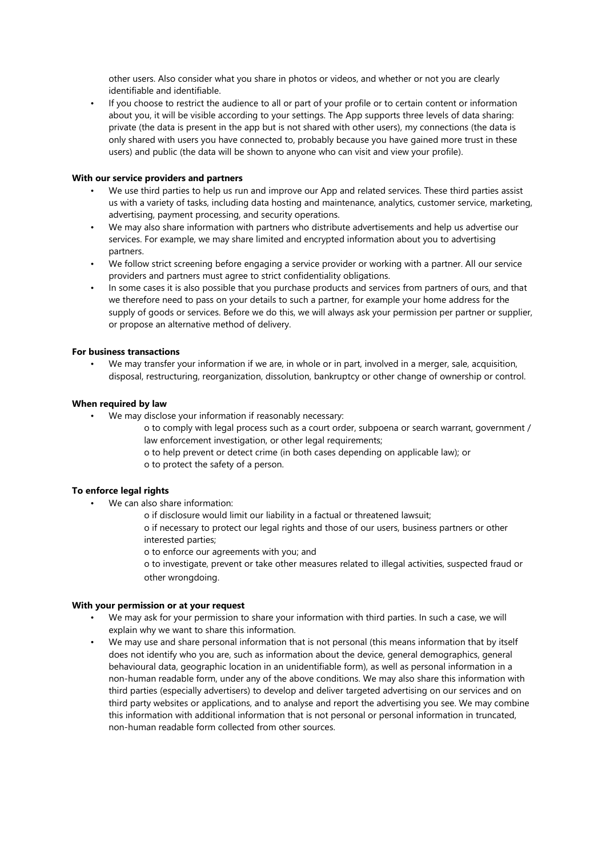other users. Also consider what you share in photos or videos, and whether or not you are clearly identifiable and identifiable.

• If you choose to restrict the audience to all or part of your profile or to certain content or information about you, it will be visible according to your settings. The App supports three levels of data sharing: private (the data is present in the app but is not shared with other users), my connections (the data is only shared with users you have connected to, probably because you have gained more trust in these users) and public (the data will be shown to anyone who can visit and view your profile).

#### <span id="page-6-0"></span>**With our service providers and partners**

- We use third parties to help us run and improve our App and related services. These third parties assist us with a variety of tasks, including data hosting and maintenance, analytics, customer service, marketing, advertising, payment processing, and security operations.
- We may also share information with partners who distribute advertisements and help us advertise our services. For example, we may share limited and encrypted information about you to advertising partners.
- We follow strict screening before engaging a service provider or working with a partner. All our service providers and partners must agree to strict confidentiality obligations.
- In some cases it is also possible that you purchase products and services from partners of ours, and that we therefore need to pass on your details to such a partner, for example your home address for the supply of goods or services. Before we do this, we will always ask your permission per partner or supplier, or propose an alternative method of delivery.

#### <span id="page-6-1"></span>**For business transactions**

• We may transfer your information if we are, in whole or in part, involved in a merger, sale, acquisition, disposal, restructuring, reorganization, dissolution, bankruptcy or other change of ownership or control.

#### <span id="page-6-2"></span>**When required by law**

- We may disclose your information if reasonably necessary:
	- o to comply with legal process such as a court order, subpoena or search warrant, government / law enforcement investigation, or other legal requirements;
	- o to help prevent or detect crime (in both cases depending on applicable law); or o to protect the safety of a person.

#### <span id="page-6-3"></span>**To enforce legal rights**

- We can also share information:
	- o if disclosure would limit our liability in a factual or threatened lawsuit;
	- o if necessary to protect our legal rights and those of our users, business partners or other interested parties;
	- o to enforce our agreements with you; and
	- o to investigate, prevent or take other measures related to illegal activities, suspected fraud or other wrongdoing.

#### <span id="page-6-4"></span>**With your permission or at your request**

- We may ask for your permission to share your information with third parties. In such a case, we will explain why we want to share this information.
- We may use and share personal information that is not personal (this means information that by itself does not identify who you are, such as information about the device, general demographics, general behavioural data, geographic location in an unidentifiable form), as well as personal information in a non-human readable form, under any of the above conditions. We may also share this information with third parties (especially advertisers) to develop and deliver targeted advertising on our services and on third party websites or applications, and to analyse and report the advertising you see. We may combine this information with additional information that is not personal or personal information in truncated, non-human readable form collected from other sources.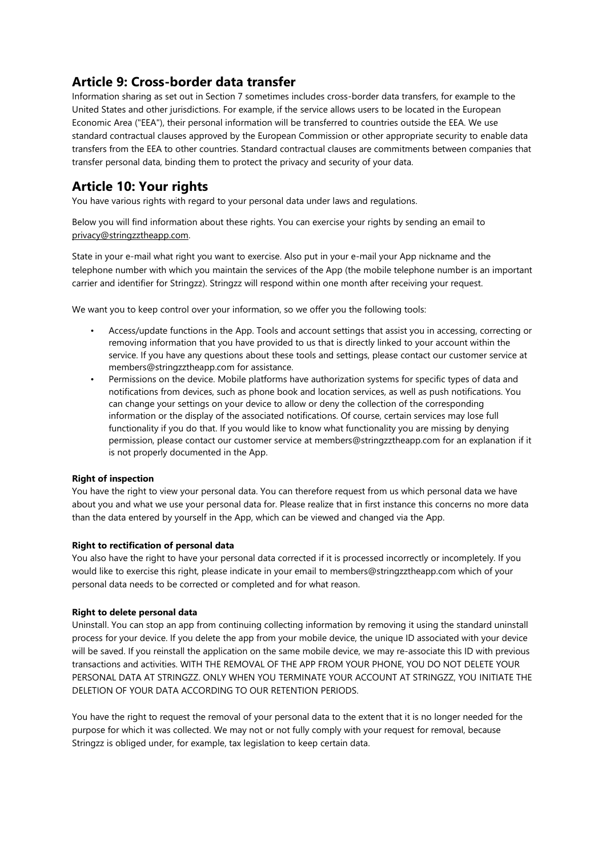# <span id="page-7-0"></span>**Article 9: Cross-border data transfer**

Information sharing as set out in Section 7 sometimes includes cross-border data transfers, for example to the United States and other jurisdictions. For example, if the service allows users to be located in the European Economic Area ("EEA"), their personal information will be transferred to countries outside the EEA. We use standard contractual clauses approved by the European Commission or other appropriate security to enable data transfers from the EEA to other countries. Standard contractual clauses are commitments between companies that transfer personal data, binding them to protect the privacy and security of your data.

# <span id="page-7-1"></span>**Article 10: Your rights**

You have various rights with regard to your personal data under laws and regulations.

Below you will find information about these rights. You can exercise your rights by sending an email to [privacy@stringzztheapp.com.](mailto:privacy@stringzztheapp.com)

State in your e-mail what right you want to exercise. Also put in your e-mail your App nickname and the telephone number with which you maintain the services of the App (the mobile telephone number is an important carrier and identifier for Stringzz). Stringzz will respond within one month after receiving your request.

We want you to keep control over your information, so we offer you the following tools:

- Access/update functions in the App. Tools and account settings that assist you in accessing, correcting or removing information that you have provided to us that is directly linked to your account within the service. If you have any questions about these tools and settings, please contact our customer service at members@stringzztheapp.com for assistance.
- Permissions on the device. Mobile platforms have authorization systems for specific types of data and notifications from devices, such as phone book and location services, as well as push notifications. You can change your settings on your device to allow or deny the collection of the corresponding information or the display of the associated notifications. Of course, certain services may lose full functionality if you do that. If you would like to know what functionality you are missing by denying permission, please contact our customer service at members@stringzztheapp.com for an explanation if it is not properly documented in the App.

### <span id="page-7-2"></span>**Right of inspection**

You have the right to view your personal data. You can therefore request from us which personal data we have about you and what we use your personal data for. Please realize that in first instance this concerns no more data than the data entered by yourself in the App, which can be viewed and changed via the App.

### <span id="page-7-3"></span>**Right to rectification of personal data**

You also have the right to have your personal data corrected if it is processed incorrectly or incompletely. If you would like to exercise this right, please indicate in your email to members@stringzztheapp.com which of your personal data needs to be corrected or completed and for what reason.

#### <span id="page-7-4"></span>**Right to delete personal data**

Uninstall. You can stop an app from continuing collecting information by removing it using the standard uninstall process for your device. If you delete the app from your mobile device, the unique ID associated with your device will be saved. If you reinstall the application on the same mobile device, we may re-associate this ID with previous transactions and activities. WITH THE REMOVAL OF THE APP FROM YOUR PHONE, YOU DO NOT DELETE YOUR PERSONAL DATA AT STRINGZZ. ONLY WHEN YOU TERMINATE YOUR ACCOUNT AT STRINGZZ, YOU INITIATE THE DELETION OF YOUR DATA ACCORDING TO OUR RETENTION PERIODS.

You have the right to request the removal of your personal data to the extent that it is no longer needed for the purpose for which it was collected. We may not or not fully comply with your request for removal, because Stringzz is obliged under, for example, tax legislation to keep certain data.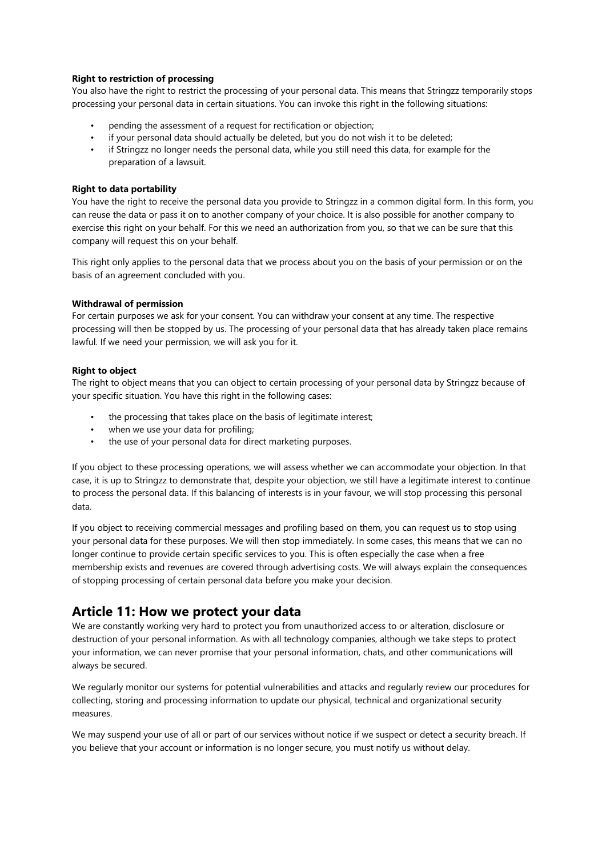#### <span id="page-8-0"></span>**Right to restriction of processing**

You also have the right to restrict the processing of your personal data. This means that Stringzz temporarily stops processing your personal data in certain situations. You can invoke this right in the following situations:

- pending the assessment of a request for rectification or objection;
- if your personal data should actually be deleted, but you do not wish it to be deleted;
- if Stringzz no longer needs the personal data, while you still need this data, for example for the preparation of a lawsuit.

#### <span id="page-8-1"></span>**Right to data portability**

You have the right to receive the personal data you provide to Stringzz in a common digital form. In this form, you can reuse the data or pass it on to another company of your choice. It is also possible for another company to exercise this right on your behalf. For this we need an authorization from you, so that we can be sure that this company will request this on your behalf.

This right only applies to the personal data that we process about you on the basis of your permission or on the basis of an agreement concluded with you.

#### <span id="page-8-2"></span>**Withdrawal of permission**

For certain purposes we ask for your consent. You can withdraw your consent at any time. The respective processing will then be stopped by us. The processing of your personal data that has already taken place remains lawful. If we need your permission, we will ask you for it.

#### <span id="page-8-3"></span>**Right to object**

The right to object means that you can object to certain processing of your personal data by Stringzz because of your specific situation. You have this right in the following cases:

- the processing that takes place on the basis of legitimate interest;
- when we use your data for profiling;
- the use of your personal data for direct marketing purposes.

If you object to these processing operations, we will assess whether we can accommodate your objection. In that case, it is up to Stringzz to demonstrate that, despite your objection, we still have a legitimate interest to continue to process the personal data. If this balancing of interests is in your favour, we will stop processing this personal data.

If you object to receiving commercial messages and profiling based on them, you can request us to stop using your personal data for these purposes. We will then stop immediately. In some cases, this means that we can no longer continue to provide certain specific services to you. This is often especially the case when a free membership exists and revenues are covered through advertising costs. We will always explain the consequences of stopping processing of certain personal data before you make your decision.

## <span id="page-8-4"></span>**Article 11: How we protect your data**

We are constantly working very hard to protect you from unauthorized access to or alteration, disclosure or destruction of your personal information. As with all technology companies, although we take steps to protect your information, we can never promise that your personal information, chats, and other communications will always be secured.

We regularly monitor our systems for potential vulnerabilities and attacks and regularly review our procedures for collecting, storing and processing information to update our physical, technical and organizational security measures.

We may suspend your use of all or part of our services without notice if we suspect or detect a security breach. If you believe that your account or information is no longer secure, you must notify us without delay.